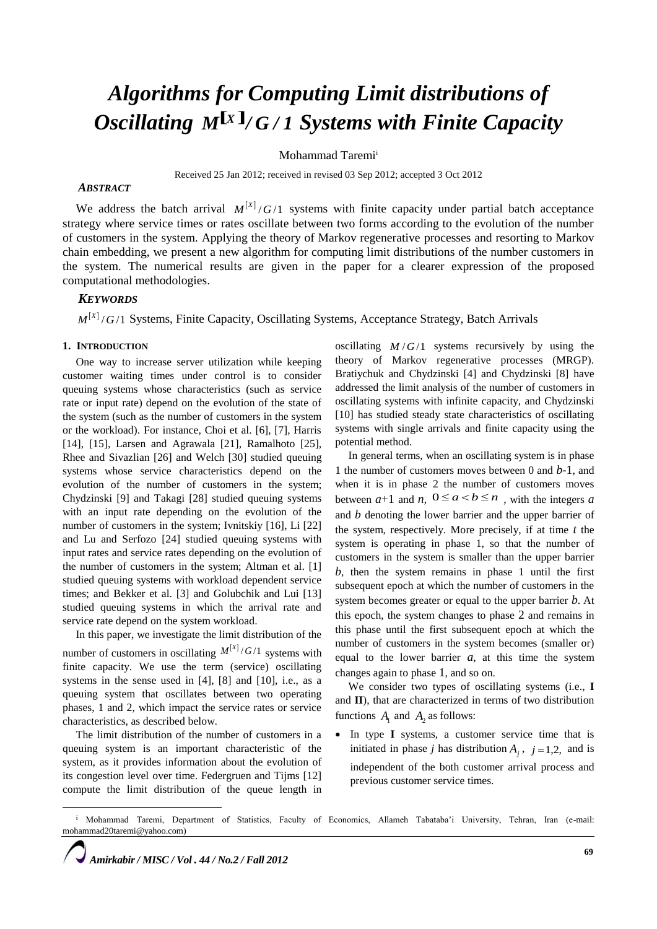# *Algorithms for Computing Limit distributions of <i>Oscillating M<sup>[x]</sup>/G/1 Systems with Finite Capacity*

Mohammad Taremi<sup>i</sup>

Received 25 Jan 2012; received in revised 03 Sep 2012; accepted 3 Oct 2012

# *ABSTRACT*

We address the batch arrival  $M^{[X]}/G/1$  systems with finite capacity under partial batch acceptance strategy where service times or rates oscillate between two forms according to the evolution of the number of customers in the system. Applying the theory of Markov regenerative processes and resorting to Markov chain embedding, we present a new algorithm for computing limit distributions of the number customers in the system. The numerical results are given in the paper for a clearer expression of the proposed computational methodologies.

# *KEYWORDS*

 $M^{[X]}/G/1$  Systems, Finite Capacity, Oscillating Systems, Acceptance Strategy, Batch Arrivals

#### **1. INTRODUCTION**

One way to increase server utilization while keeping customer waiting times under control is to consider queuing systems whose characteristics (such as service rate or input rate) depend on the evolution of the state of the system (such as the number of customers in the system or the workload). For instance, Choi et al. [6], [7], Harris [14], [15], Larsen and Agrawala [21], Ramalhoto [25], Rhee and Sivazlian [26] and Welch [30] studied queuing systems whose service characteristics depend on the evolution of the number of customers in the system; Chydzinski [9] and Takagi [28] studied queuing systems with an input rate depending on the evolution of the number of customers in the system; Ivnitskiy [16], Li [22] and Lu and Serfozo [24] studied queuing systems with input rates and service rates depending on the evolution of the number of customers in the system; Altman et al. [1] studied queuing systems with workload dependent service times; and Bekker et al. [3] and Golubchik and Lui [13] studied queuing systems in which the arrival rate and service rate depend on the system workload.

In this paper, we investigate the limit distribution of the number of customers in oscillating  $M^{[X]}/G/1$  systems with finite capacity. We use the term (service) oscillating systems in the sense used in [4], [8] and [10], i.e., as a queuing system that oscillates between two operating phases, 1 and 2, which impact the service rates or service characteristics, as described below.

The limit distribution of the number of customers in a queuing system is an important characteristic of the system, as it provides information about the evolution of its congestion level over time. Federgruen and Tijms [12] compute the limit distribution of the queue length in

oscillating  $M/G/1$  systems recursively by using the theory of Markov regenerative processes (MRGP). Bratiychuk and Chydzinski [4] and Chydzinski [8] have addressed the limit analysis of the number of customers in oscillating systems with infinite capacity, and Chydzinski [10] has studied steady state characteristics of oscillating systems with single arrivals and finite capacity using the potential method.

In general terms, when an oscillating system is in phase 1 the number of customers moves between 0 and *b*-1, and when it is in phase 2 the number of customers moves between  $a+1$  and  $n, 0 \le a < b \le n$ , with the integers a and *b* denoting the lower barrier and the upper barrier of the system, respectively. More precisely, if at time *t* the system is operating in phase 1, so that the number of customers in the system is smaller than the upper barrier *b*, then the system remains in phase 1 until the first subsequent epoch at which the number of customers in the system becomes greater or equal to the upper barrier *b*. At this epoch, the system changes to phase 2 and remains in this phase until the first subsequent epoch at which the number of customers in the system becomes (smaller or) equal to the lower barrier  $a$ , at this time the system changes again to phase 1, and so on.

We consider two types of oscillating systems (i.e., **I** and **II**), that are characterized in terms of two distribution functions  $A_1$  and  $A_2$  as follows:

 In type **I** systems, a customer service time that is initiated in phase *j* has distribution  $A_j$ ,  $j = 1,2$ , and is independent of the both customer arrival process and previous customer service times.

*Amirkabir / MISC / Vol . 44 / No.2 / Fall 2012*

 $\overline{\phantom{a}}$ 

<sup>&</sup>lt;sup>i</sup> Mohammad Taremi, Department of Statistics, Faculty of Economics, Allameh Tabataba'i University, Tehran, Iran (e-mail: mohammad20taremi@yahoo.com)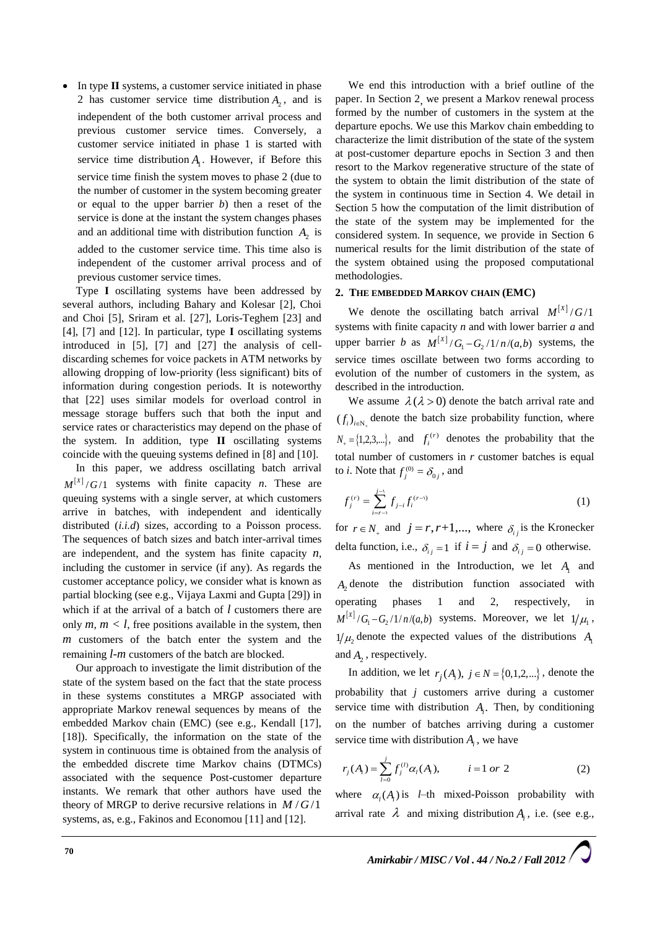In type **II** systems, a customer service initiated in phase 2 has customer service time distribution  $A_2$ , and is independent of the both customer arrival process and previous customer service times. Conversely, a customer service initiated in phase 1 is started with service time distribution  $A<sub>1</sub>$ . However, if Before this service time finish the system moves to phase 2 (due to the number of customer in the system becoming greater or equal to the upper barrier *b*) then a reset of the service is done at the instant the system changes phases and an additional time with distribution function  $A_2$  is added to the customer service time. This time also is independent of the customer arrival process and of previous customer service times.

Type **I** oscillating systems have been addressed by several authors, including Bahary and Kolesar [2], Choi and Choi [5], Sriram et al. [27], Loris-Teghem [23] and [4], [7] and [12]. In particular, type **I** oscillating systems introduced in [5], [7] and [27] the analysis of celldiscarding schemes for voice packets in ATM networks by allowing dropping of low-priority (less significant) bits of information during congestion periods. It is noteworthy that [22] uses similar models for overload control in message storage buffers such that both the input and service rates or characteristics may depend on the phase of the system. In addition, type **II** oscillating systems coincide with the queuing systems defined in [8] and [10].

In this paper, we address oscillating batch arrival  $M^{[x]}/G/1$  systems with finite capacity *n*. These are queuing systems with a single server, at which customers arrive in batches, with independent and identically distributed (*i.i.d*) sizes, according to a Poisson process. The sequences of batch sizes and batch inter-arrival times are independent, and the system has finite capacity *n*, including the customer in service (if any). As regards the customer acceptance policy, we consider what is known as partial blocking (see e.g., Vijaya Laxmi and Gupta [29]) in which if at the arrival of a batch of *l* customers there are only  $m, m < l$ , free positions available in the system, then *m* customers of the batch enter the system and the remaining *l-m* customers of the batch are blocked.

Our approach to investigate the limit distribution of the state of the system based on the fact that the state process in these systems constitutes a MRGP associated with appropriate Markov renewal sequences by means of the embedded Markov chain (EMC) (see e.g., Kendall [17], [18]). Specifically, the information on the state of the system in continuous time is obtained from the analysis of the embedded discrete time Markov chains (DTMCs) associated with the sequence Post-customer departure instants. We remark that other authors have used the theory of MRGP to derive recursive relations in  $M/G/1$ systems, as, e.g., Fakinos and Economou [11] and [12].

We end this introduction with a brief outline of the paper. In Section 2, we present a Markov renewal process formed by the number of customers in the system at the departure epochs. We use this Markov chain embedding to characterize the limit distribution of the state of the system at post-customer departure epochs in Section 3 and then resort to the Markov regenerative structure of the state of the system to obtain the limit distribution of the state of the system in continuous time in Section 4. We detail in Section 5 how the computation of the limit distribution of the state of the system may be implemented for the considered system. In sequence, we provide in Section 6 numerical results for the limit distribution of the state of the system obtained using the proposed computational methodologies.

### **2. THE EMBEDDED MARKOV CHAIN (EMC)**

We denote the oscillating batch arrival  $M^{[X]} / G / 1$ systems with finite capacity *n* and with lower barrier *a* and upper barrier *b* as  $M^{[X]} / G_1 - G_2 / 1 / n / (a, b)$  systems, the service times oscillate between two forms according to evolution of the number of customers in the system, as described in the introduction.

We assume  $\lambda(\lambda > 0)$  denote the batch arrival rate and  $(f_i)_{i \in N_+}$  denote the batch size probability function, where  $N_{+} = \{1, 2, 3, ...\}$ , and  $f_i^{(r)}$  denotes the probability that the total number of customers in *r* customer batches is equal to *i*. Note that  $f_j^{(0)} = \delta_{0j}$ , and

$$
f_j^{(r)} = \sum_{i=r-1}^{j-1} f_{j-i} f_i^{(r-1)} \tag{1}
$$

for  $r \in N_+$  and  $j = r, r+1,...$ , where  $\delta_{ij}$  is the Kronecker delta function, i.e.,  $\delta_{ij} = 1$  if  $i = j$  and  $\delta_{ij} = 0$  otherwise.

As mentioned in the Introduction, we let  $A_1$  and  $A_2$  denote the distribution function associated with operating phases 1 and 2, respectively, in  $M^{[X]}/G_1 - G_2/1/n/(a,b)$  systems. Moreover, we let  $1/\mu_1$ ,  $1/\mu_2$  denote the expected values of the distributions  $A_1$ and  $A_2$ , respectively.

In addition, we let  $r_j(A_i)$ ,  $j \in N = \{0, 1, 2, ...\}$ , denote the probability that *j* customers arrive during a customer service time with distribution  $A_i$ . Then, by conditioning on the number of batches arriving during a customer service time with distribution  $A_i$ , we have

$$
r_j(A_i) = \sum_{l=0}^j f_j^{(l)} \alpha_l(A_i), \qquad i = 1 \text{ or } 2
$$
 (2)

where  $\alpha_i(A_i)$  is *l*–th mixed-Poisson probability with arrival rate  $\lambda$  and mixing distribution  $A_i$ , i.e. (see e.g.,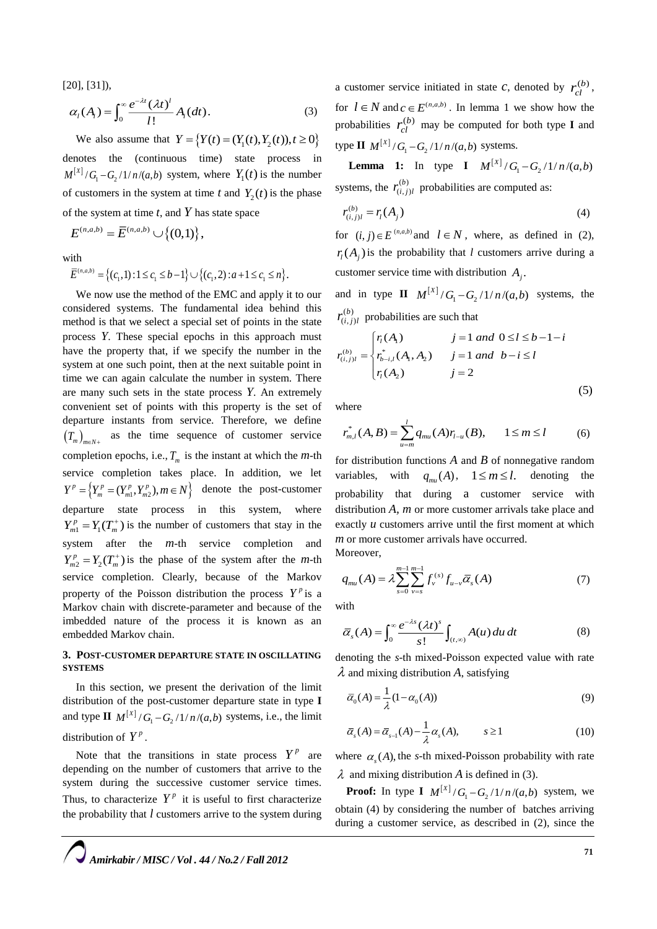[20], [31]),

$$
\alpha_i(A_i) = \int_0^\infty \frac{e^{-\lambda t} (\lambda t)^i}{l!} A_i(dt).
$$
 (3)

We also assume that  $Y = \{Y(t) = (Y_1(t), Y_2(t)), t \ge 0\}$ denotes the (continuous time) state process in  $M^{\vert X \vert} / G_{\vert} - G_2 / 1 / n / (a, b)$  system, where  $Y_1(t)$  is the number of customers in the system at time  $t$  and  $Y_2(t)$  is the phase of the system at time *t*, and *Y* has state space

 $E^{(n, a, b)} = \overline{E}^{(n, a, b)} \cup \{(0,1)\},$ 

with

$$
\text{ith}
$$
\n
$$
\overline{E}^{(n,a,b)} = \left\{ (c_1, 1) : 1 \le c_1 \le b - 1 \right\} \cup \left\{ (c_1, 2) : a + 1 \le c_1 \le n \right\}.
$$

We now use the method of the EMC and apply it to our considered systems. The fundamental idea behind this method is that we select a special set of points in the state process *Y*. These special epochs in this approach must have the property that, if we specify the number in the system at one such point, then at the next suitable point in time we can again calculate the number in system. There are many such sets in the state process *Y*. An extremely convenient set of points with this property is the set of departure instants from service. Therefore, we define  $(T_m)_{m \in N^+}$  as the time sequence of customer service completion epochs, i.e.,  $T_m$  is the instant at which the *m*-th service completion takes place. In addition, we let  $(Y^p = \left\{ Y^p_m = (Y^p_{m1}, Y^p_{m2}), m \in N \right\}$  denote the post-customer departure state process in this system, where  $Y_{m1}^p = Y_1(T_m^+)$  is the number of customers that stay in the system after the *m-*th service completion and  $Y_{m2}^p = Y_2(T_m^+)$  is the phase of the system after the *m*-th service completion. Clearly, because of the Markov property of the Poisson distribution the process  $Y^p$  is a Markov chain with discrete-parameter and because of the imbedded nature of the process it is known as an embedded Markov chain.

# **3. POST-CUSTOMER DEPARTURE STATE IN OSCILLATING SYSTEMS**

In this section, we present the derivation of the limit distribution of the post-customer departure state in type **I** and type **II**  $M^{[x]}/G_1 - G_2/1/n/(a,b)$  systems, i.e., the limit distribution of  $Y^p$ .

Note that the transitions in state process  $Y^p$  are depending on the number of customers that arrive to the system during the successive customer service times. Thus, to characterize  $Y^p$  it is useful to first characterize the probability that *l* customers arrive to the system during

a customer service initiated in state *c*, denoted by  $r_{cl}^{(b)}$ , for  $l \in \mathbb{N}$  and  $c \in E^{(n,a,b)}$ . In lemma 1 we show how the probabilities  $r_{cl}^{(b)}$  may be computed for both type **I** and type **II**  $M^{[X]} / G_1 - G_2 / 1 / n / (a, b)$  systems.

**Lemma 1:** In type **I**  $M^{[X]} / G_1 - G_2 / 1 / n / (a, b)$ systems, the  $r_{(i,j)}^{(b)}$  $(i, j)$  $r^{(b)}_{(i,j)l}$  probabilities are computed as:

$$
r_{(i,j)l}^{(b)} = r_l(A_j)
$$
 (4)

for  $(i, j) \in E^{(n,a,b)}$  and  $l \in N$ , where, as defined in (2),  $r_l(A_j)$  is the probability that *l* customers arrive during a customer service time with distribution  $A_j$ .

and in type **II**  $M^{[X]}/G_1 - G_2/1/n/(a,b)$  systems, the  $(b)$  $(i, j)$  $r_{(i,j)l}^{(b)}$  probabilities are such that

$$
r_{(i,j)l}^{(b)} = \begin{cases} r_l(A_1) & j = 1 \text{ and } 0 \le l \le b - 1 - i \\ r_{b-i,l}^*(A_1, A_2) & j = 1 \text{ and } b - i \le l \\ r_l(A_2) & j = 2 \end{cases}
$$

where

$$
r_{m,l}^*(A,B) = \sum_{u=m}^{l} q_{mu}(A)r_{l-u}(B), \qquad 1 \le m \le l \tag{6}
$$

for distribution functions *A* and *B* of nonnegative random variables, with  $q_{mu}(A)$ ,  $1 \leq m \leq l$ . denoting the probability that during a customer service with distribution *A, m* or more customer arrivals take place and exactly *u* customers arrive until the first moment at which *m* or more customer arrivals have occurred. Moreover,

$$
q_{mu}(A) = \lambda \sum_{s=0}^{m-1} \sum_{v=s}^{m-1} f_{v}^{(s)} f_{u-v} \overline{\alpha}_{s}(A)
$$
 (7)

with

$$
\overline{\alpha}_s(A) = \int_0^\infty \frac{e^{-\lambda s} (\lambda t)^s}{s!} \int_{(t,\infty)} A(u) \, du \, dt \tag{8}
$$

denoting the *s*-th mixed-Poisson expected value with rate  $\lambda$  and mixing distribution A, satisfying

$$
\overline{\alpha}_0(A) = \frac{1}{\lambda} (1 - \alpha_0(A))
$$
\n(9)

$$
\overline{\alpha}_s(A) = \overline{\alpha}_{s-1}(A) - \frac{1}{\lambda} \alpha_s(A), \qquad s \ge 1
$$
 (10)

where  $\alpha_s(A)$ , the *s*-th mixed-Poisson probability with rate  $\lambda$  and mixing distribution A is defined in (3).

**Proof:** In type **I**  $M^{[X]} / G_1 - G_2 / 1 / n / (a, b)$  system, we obtain (4) by considering the number of batches arriving during a customer service, as described in (2), since the

*Amirkabir / MISC / Vol . 44 / No.2 / Fall 2012*

(5)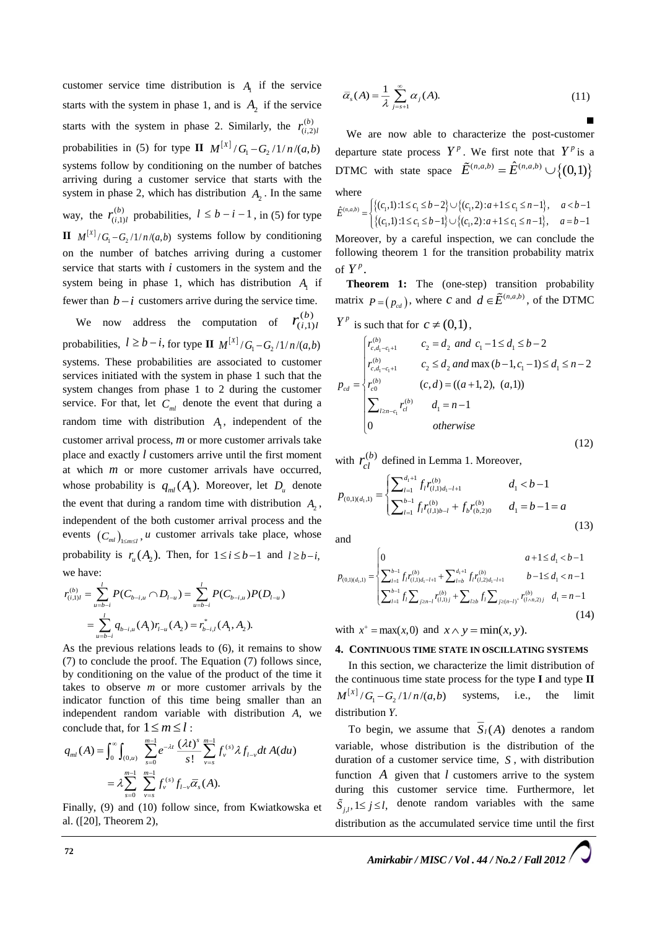customer service time distribution is  $A_1$  if the service starts with the system in phase 1, and is  $A_2$  if the service starts with the system in phase 2. Similarly, the  $r_{(i)}^{(b)}$  $(i,2)$  $r_{(i,2)l}^{(b)}$ probabilities in (5) for type **II**  $M^{[X]}/G_1 - G_2 / 1/n/(a,b)$ systems follow by conditioning on the number of batches arriving during a customer service that starts with the system in phase 2, which has distribution  $A_2$ . In the same way, the  $r_{(i)}^{(b)}$  $_{(i,1)}$  $r_{(i,1)l}^{(b)}$  probabilities,  $l \leq b - i - 1$ , in (5) for type  $\mathbf{H}$   $M^{[X]}/G_1 - G_2/1/n/(a,b)$  systems follow by conditioning on the number of batches arriving during a customer service that starts with *i* customers in the system and the system being in phase 1, which has distribution  $A<sub>1</sub>$  if fewer than  $b - i$  customers arrive during the service time.

We now address the computation of  $r_{(i,1)}^{(b)}$  $(i,1)$  $r_{(i,1)l}^{(b)}$ probabilities,  $l \geq b - i$ , for type **II**  $M^{[X]} / G_1 - G_2 / 1/n / (a, b)$ systems. These probabilities are associated to customer services initiated with the system in phase 1 such that the system changes from phase 1 to 2 during the customer service. For that, let  $C_{ml}$  denote the event that during a random time with distribution  $A_1$ , independent of the customer arrival process, *m* or more customer arrivals take place and exactly *l* customers arrive until the first moment at which *m* or more customer arrivals have occurred, whose probability is  $q_{ml}(A_1)$ . Moreover, let  $D_u$  denote the event that during a random time with distribution  $A_2$ , independent of the both customer arrival process and the events  $(C_{ml})_{1 \le m \le l}$ , *u* customer arrivals take place, whose probability is  $r_u(A_2)$ . Then, for  $1 \le i \le b-1$  and  $l \ge b-i$ , we have:

$$
r_{(i,1)l}^{(b)} = \sum_{u=b-i}^{l} P(C_{b-i,u} \cap D_{l-u}) = \sum_{u=b-i}^{l} P(C_{b-i,u}) P(D_{l-u})
$$
  
= 
$$
\sum_{u=b-i}^{l} q_{b-i,u}(A_1) r_{l-u}(A_2) = r_{b-i,l}^*(A_1, A_2).
$$

As the previous relations leads to (6), it remains to show (7) to conclude the proof. The Equation (7) follows since, by conditioning on the value of the product of the time it takes to observe *m* or more customer arrivals by the indicator function of this time being smaller than an independent random variable with distribution *A*, we conclude that, for  $1 \le m \le l$ :

$$
q_{ml}(A) = \int_0^{\infty} \int_{(0,u)} \sum_{s=0}^{m-1} e^{-\lambda t} \frac{(\lambda t)^s}{s!} \sum_{\nu=s}^{m-1} f_{\nu}^{(s)} \lambda f_{l-\nu} dt A(du)
$$
  
=  $\lambda \sum_{s=0}^{m-1} \sum_{\nu=s}^{m-1} f_{\nu}^{(s)} f_{l-\nu} \overline{\alpha}_s(A).$ 

Finally, (9) and (10) follow since, from Kwiatkowska et al. ([20], Theorem 2),

$$
\overline{\alpha}_s(A) = \frac{1}{\lambda} \sum_{j=s+1}^{\infty} \alpha_j(A). \tag{11}
$$

the contract of the contract of the We are now able to characterize the post-customer departure state process  $Y^{\nu}$ . We first note that  $Y^{\nu}$  is a DTMC with state space  $\tilde{E}^{(n,a,b)} = \hat{E}^{(n,a,b)} \cup \{(0,1)\}\$ where

$$
\hat{E}^{(n,a,b)} = \begin{cases} \{(c_1,1): 1 \le c_1 \le b-2\} \cup \{(c_1,2): a+1 \le c_1 \le n-1\}, & a < b-1 \\ \{(c_1,1): 1 \le c_1 \le b-1\} \cup \{(c_1,2): a+1 \le c_1 \le n-1\}, & a = b-1 \end{cases}
$$
  
Moreover, by a careful inspection, we can conclude the following theorem 1 for the transition probability matrix of  $Y^p$ .

**Theorem 1:** The (one-step) transition probability matrix  $P = (p_{cd})$ , where *c* and  $d \in \mathbf{E}^{(n,a,b)}$ , of the DTMC  $Y^p$  is such that for  $c \neq (0,1)$ ,

$$
p_{cd} = \begin{cases} r_{c,d_1-c_1+1}^{(b)} & c_2 = d_2 \text{ and } c_1 - 1 \le d_1 \le b - 2\\ r_{c,d_1-c_1+1}^{(b)} & c_2 \le d_2 \text{ and } \max(b-1, c_1-1) \le d_1 \le n - 2\\ r_{c,d}^{(b)} & (c,d) = ((a+1,2), (a,1))\\ \sum_{l \ge n-c_1} r_{cl}^{(b)} & d_1 = n - 1\\ 0 & \text{otherwise} \end{cases} \tag{12}
$$

with  $r_{cl}^{(b)}$  defined in Lemma 1. Moreover,

$$
p_{(0,1)(d_1,1)} = \begin{cases} \sum_{l=1}^{d_1+1} f_l r_{(l,1)d_1-l+1}^{(b)} & d_1 < b-1\\ \sum_{l=1}^{b-1} f_l r_{(l,1)b-l}^{(b)} + f_b r_{(b,2)0}^{(b)} & d_1 = b-1 = a \end{cases}
$$
\n(13)

and

and  
\n
$$
p_{(0,1)(d_1,1)} = \begin{cases} 0 & a+1 \le d_1 < b-1 \\ \sum_{l=1}^{b-1} f_l r_{(l,1)d_1-l+1}^{(b)} + \sum_{l=b}^{d_1+1} f_l r_{(l,2)d_1-l+1}^{(b)} & b-l \le d_1 < n-1 \\ \sum_{l=1}^{b-1} f_l \sum_{j \ge n-l} r_{(l,1)j}^{(b)} + \sum_{l \ge b} f_l \sum_{j \ge (n-l)^*} r_{(l \wedge n,2)j}^{(b)} & d_1 = n-1 \end{cases}
$$
\n(14)

with  $x^+ = \max(x, 0)$  and  $x \wedge y = \min(x, y)$ .

## **4. CONTINUOUS TIME STATE IN OSCILLATING SYSTEMS**

In this section, we characterize the limit distribution of the continuous time state process for the type **I** and type **II**  $M^{[X]}/G_1 - G_2/1/n/(a,b)$  systems, i.e., the limit distribution *Y*.

To begin, we assume that  $S_I(A)$  denotes a random variable, whose distribution is the distribution of the duration of a customer service time, *S* , with distribution function  $\vec{A}$  given that  $\vec{l}$  customers arrive to the system during this customer service time. Furthermore, let  $\tilde{S}_{j,l}$ ,  $1 \le j \le l$ , denote random variables with the same distribution as the accumulated service time until the first

*Amirkabir / MISC / Vol . 44 / No.2 / Fall 2012*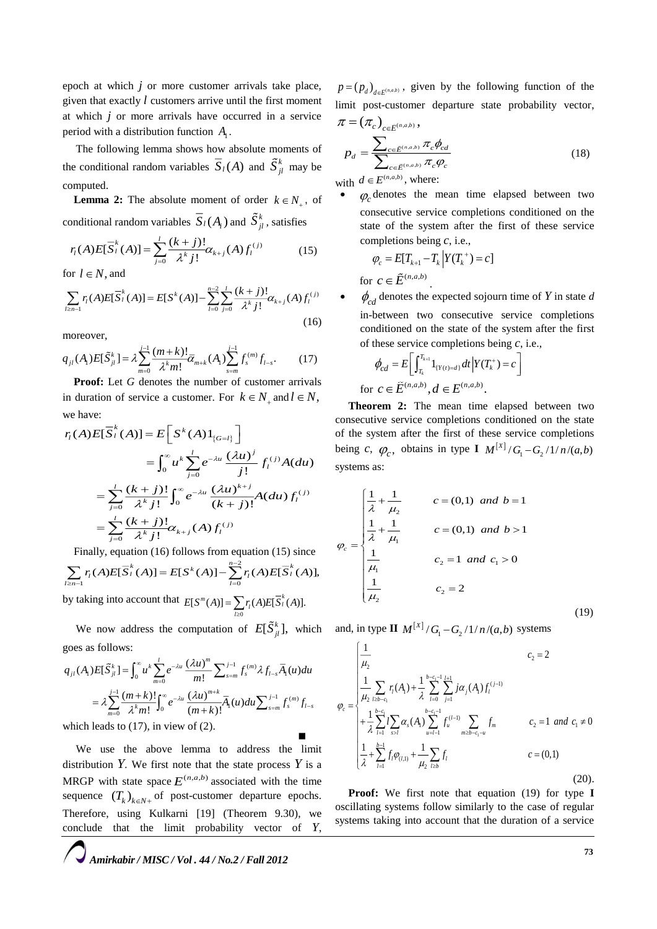epoch at which *j* or more customer arrivals take place, given that exactly *l* customers arrive until the first moment at which *j* or more arrivals have occurred in a service period with a distribution function  $A_1$ .

The following lemma shows how absolute moments of the conditional random variables  $S_l(A)$  and  $S_{jl}^k$  may be computed.

**Lemma 2:** The absolute moment of order  $k \in N_+$ , of

conditional random variables 
$$
S_l(A_i)
$$
 and  $S_{jl}^k$ , satisfies  
\n
$$
r_l(A)E[\overline{S}_l^k(A)] = \sum_{j=0}^l \frac{(k+j)!}{\lambda^k j!} \alpha_{k+j}(A) f_l^{(j)}
$$
\n(15)

for  $l \in N$ , and

$$
\sum_{l \ge n-1} r_l(A) E[\overline{S}_l^k(A)] = E[S^k(A)] - \sum_{l=0}^{n-2} \sum_{j=0}^l \frac{(k+j)!}{\lambda^k j!} \alpha_{k+j}(A) f_l^{(j)}
$$
(16)

moreover,

$$
q_{jl}(A_l)E[\tilde{S}_{jl}^k] = \lambda \sum_{m=0}^{j-1} \frac{(m+k)!}{\lambda^k m!} \overline{\alpha}_{m+k}(A_l) \sum_{s=m}^{j-1} f_s^{(m)} f_{l-s}. \tag{17}
$$

**Proof:** Let *G* denotes the number of customer arrivals in duration of service a customer. For  $k \in N_+$  and  $l \in N$ , we have:

$$
r_{l}(A)E[\overline{S}_{l}^{k}(A)] = E\left[S^{k}(A)1_{\{G=l\}}\right]
$$
  
\n
$$
= \int_{0}^{\infty} u^{k} \sum_{j=0}^{l} e^{-\lambda u} \frac{(\lambda u)^{j}}{j!} f_{l}^{(j)} A(du)
$$
  
\n
$$
= \sum_{j=0}^{l} \frac{(k+j)!}{\lambda^{k} j!} \int_{0}^{\infty} e^{-\lambda u} \frac{(\lambda u)^{k+j}}{(k+j)!} A(du) f_{l}^{(j)}
$$
  
\n
$$
= \sum_{j=0}^{l} \frac{(k+j)!}{\lambda^{k} j!} \alpha_{k+j} (A) f_{l}^{(j)}
$$

Finally, equation (16) follows from equation (15) since

$$
\sum_{l \ge n-1} r_l(A) E[\overline{S}_l^k(A)] = E[S^k(A)] - \sum_{l=0}^{n-2} r_l(A) E[\overline{S}_l^k(A)],
$$
  
by taking into account that 
$$
E[S^m(A)] = \sum_{l \ge 0} r_l(A) E[\overline{S}_l^k(A)].
$$

*l* We now address the computation of  $E[\tilde{S}_{jl}^k]$ , which and, in type  $\mathbf{H} \cdot M^{[X]}/G_1 - G_2/1/n/(a,b)$  systems

goes as follows:

$$
q_{jl}(A_l)E[\tilde{S}_{jl}^k] = \int_0^\infty u^k \sum_{m=0}^l e^{-\lambda u} \frac{(\lambda u)^m}{m!} \sum_{s=m}^{j-1} f_s^{(m)} \lambda f_{l-s} \overline{A}_l(u) du
$$
  
=  $\lambda \sum_{m=0}^{j-1} \frac{(m+k)!}{\lambda^k m!} \int_0^\infty e^{-\lambda u} \frac{(\lambda u)^{m+k}}{(m+k)!} \overline{A}_l(u) du \sum_{s=m}^{j-1} f_s^{(m)} f_{l-s}$ 

which leads to (17), in view of (2). 

We use the above lemma to address the limit distribution  $Y$ *.* We first note that the state process  $Y$  is a MRGP with state space  $E^{(n,a,b)}$  associated with the time sequence  $(T_k)_{k \in N+}$  of post-customer departure epochs. Therefore, using Kulkarni [19] (Theorem 9.30), we conclude that the limit probability vector of *Y*,

 $p = (p_d)_{d \in E^{(n, a, b)}}$ , given by the following function of the limit post-customer departure state probability vector,

$$
\pi = (\pi_c)_{c \in \tilde{E}^{(n,a,b)}},
$$
\n
$$
p_d = \frac{\sum_{c \in \tilde{E}^{(n,a,b)}} \pi_c \phi_{cd}}{\sum_{c \in \tilde{E}^{(n,a,b)}} \pi_c \phi_c}
$$
\n(18)

with  $d \in E^{(n,a,b)}$ , where:

 $\bullet$  $\varphi_c$  denotes the mean time elapsed between two consecutive service completions conditioned on the state of the system after the first of these service completions being *c*, i.e.,

$$
\varphi_c = E[T_{k+1} - T_k | Y(T_k^+) = c]
$$
  
for  $c \in \tilde{E}^{(n,a,b)}$ .

 $\bullet$  $\phi_{cd}$  denotes the expected sojourn time of *Y* in state *d* in-between two consecutive service completions conditioned on the state of the system after the first of these service completions being *c*, i.e.,

$$
\phi_{cd} = E\bigg[\int_{T_k}^{T_{k+1}} 1_{\{Y(t)=d\}} dt \, \bigg| Y(T_k^+) = c\bigg]
$$
  
for  $c \in \tilde{E}^{(n,a,b)}$ ,  $d \in E^{(n,a,b)}$ .

**Theorem 2:** The mean time elapsed between two consecutive service completions conditioned on the state of the system after the first of these service completions being *c*,  $\varphi_c$ , obtains in type **I**  $M^{[x]}/G_1 - G_2 / 1/n/(a,b)$ systems as:

$$
D_c = \begin{cases} \frac{1}{\lambda} + \frac{1}{\mu_2} & c = (0,1) \text{ and } b = 1\\ \frac{1}{\lambda} + \frac{1}{\mu_1} & c = (0,1) \text{ and } b > 1 \end{cases}
$$
\n
$$
C_2 = 1 \text{ and } C_1 > 0
$$
\n
$$
\frac{1}{\mu_2} \qquad C_2 = 2 \tag{19}
$$

 $\boldsymbol{q}$ 

$$
\varphi_{c} = \begin{cases}\n\frac{1}{\mu_{2}} & c_{2} = 2 \\
\frac{1}{\mu_{2}} \sum_{l \geq b - c_{1}} r_{l}(A_{l}) + \frac{1}{\lambda} \sum_{l=0}^{b - c_{1} - 1} \sum_{j=1}^{l+1} j \alpha_{j}(A_{l}) f_{l}^{(j-1)} \\
+ \frac{1}{\lambda} \sum_{l=1}^{b - c_{1}} l \sum_{s > l} \alpha_{s}(A_{l}) \sum_{u=l-1}^{b - c_{1} - 1} f_{u}^{(l-1)} \sum_{m \geq b - c_{1} - u} f_{m} & c_{2} = 1 \text{ and } c_{1} \neq 0 \\
\frac{1}{\lambda} + \sum_{l=1}^{b-1} f_{l} \varphi_{(l,1)} + \frac{1}{\mu_{2}} \sum_{l \geq b} f_{l} & c = (0,1)\n\end{cases}
$$
\n(20).

**Proof:** We first note that equation (19) for type **I** oscillating systems follow similarly to the case of regular systems taking into account that the duration of a service

*Amirkabir / MISC / Vol . 44 / No.2 / Fall 2012*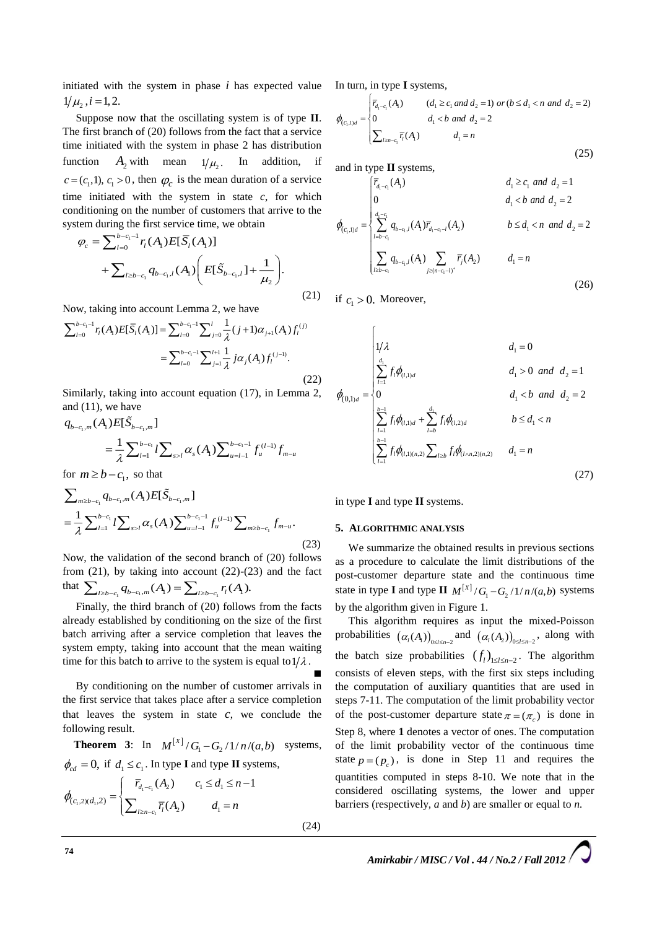initiated with the system in phase *i* has expected value  $1/\mu$ ,  $i = 1,2$ .

Suppose now that the oscillating system is of type **II**. The first branch of (20) follows from the fact that a service time initiated with the system in phase 2 has distribution function  $A_2$  with mean  $1/\mu_{2}$ . In addition, if  $c = (c_1, 1), c_1 > 0$ , then  $\varphi_c$  is the mean duration of a service time initiated with the system in state *c*, for which conditioning on the number of customers that arrive to the system during the first service time, we obtain

$$
\varphi_c = \sum_{l=0}^{b-c_1-1} r_l(A_l) E[\bar{S}_l(A_l)] + \sum_{l \ge b-c_1} q_{b-c_1,l}(A_l) \left( E[\tilde{S}_{b-c_1,l}] + \frac{1}{\mu_2} \right).
$$

Now, taking into account Lemma 2, we have

$$
\sum_{l=0}^{b-c_1-1} r_l(A_l) E[\bar{S}_l(A_l)] = \sum_{l=0}^{b-c_1-1} \sum_{j=0}^{l} \frac{1}{\lambda} (j+1) \alpha_{j+1}(A_l) f_l^{(j)}
$$

$$
= \sum_{l=0}^{b-c_1-1} \sum_{j=1}^{l+1} \frac{1}{\lambda} j \alpha_j(A_l) f_l^{(j-1)}.
$$
(22)

Similarly, taking into account equation (17), in Lemma 2, and (11), we have

$$
q_{b-c_1,m}(A_1)E[S_{b-c_1,m}]
$$
  
=  $\frac{1}{\lambda} \sum_{l=1}^{b-c_1} l \sum_{s>l} \alpha_s(A_1) \sum_{u=l-1}^{b-c_1-1} f_u^{(l-1)} f_{m-u}$   
for  $m \ge b - c_1$ , so that

$$
\sum_{m \ge b - c_1} q_{b - c_1, m}(A_1) E[\tilde{S}_{b - c_1, m}]
$$
  
= 
$$
\frac{1}{\lambda} \sum_{l=1}^{b - c_1} l \sum_{s > l} \alpha_s(A_1) \sum_{u = l-1}^{b - c_1 - 1} f_u^{(l-1)} \sum_{m \ge b - c_1} f_{m-u}.
$$
 (23)

Now, the validation of the second branch of (20) follows from  $(21)$ , by taking into account  $(22)-(23)$  and the fact that  $\sum_{l \ge b-c_1} q_{b-c_1,m}(A_l) = \sum_{l \ge b-c_1} r_l(A_l).$ 

Finally, the third branch of (20) follows from the facts already established by conditioning on the size of the first batch arriving after a service completion that leaves the system empty, taking into account that the mean waiting time for this batch to arrive to the system is equal to  $1/\lambda$ . 

By conditioning on the number of customer arrivals in the first service that takes place after a service completion that leaves the system in state  $c$ , we conclude the following result.

**Theorem 3:** In  $M^{[X]} / G_1 - G_2 / 1 / n / (a, b)$  systems,  $\phi_{cd} = 0$ , if  $d_1 \leq c_1$ . In type **I** and type **II** systems,

$$
\phi_{(c_1,2)(d_1,2)} = \begin{cases}\n\overline{r}_{d_1-c_1}(A_2) & c_1 \le d_1 \le n-1 \\
\sum_{l \ge n-c_1} \overline{r}_l(A_2) & d_1 = n\n\end{cases}
$$
\n(24)

In turn, in type **I** systems,

In turn, in type I systems,  
\n
$$
\phi_{(c_1,1)d} = \begin{cases}\n\overline{r}_{d_1-c_1}(A_1) & (d_1 \ge c_1 \text{ and } d_2 = 1) \text{ or } (b \le d_1 < n \text{ and } d_2 = 2) \\
0 & d_1 < b \text{ and } d_2 = 2 \\
\sum_{l \ge n-c_1} \overline{r}_l(A_l) & d_1 = n\n\end{cases}
$$
\n(25)

and in type **II** systems,

$$
\phi_{(c_1,1)d} = \begin{cases}\n\overline{r}_{d_1-c_1}(A_1) & d_1 \ge c_1 \text{ and } d_2 = 1 \\
0 & d_1 < b \text{ and } d_2 = 2 \\
\sum_{l=b-c_1}^{d_1-c_1} q_{b-c_1,l}(A_1) \overline{r}_{d_1-c_1-l}(A_2) & b \le d_1 < n \text{ and } d_2 = 2 \\
\sum_{l \ge b-c_1} q_{b-c_1,l}(A_1) \sum_{j \ge (n-c_1-l)^+} \overline{r}_j(A_2) & d_1 = n\n\end{cases}
$$
\n(26)

(21) if  $c_1 > 0$ . Moreover,

$$
\phi_{(0,1)_d} = \begin{cases}\n1/\lambda & d_1 = 0 \\
\sum_{i=1}^{d_1} f_i \phi_{(l,1)_d} & d_1 > 0 \text{ and } d_2 = 1 \\
0 & d_1 < b \text{ and } d_2 = 2 \\
\sum_{i=1}^{b-1} f_i \phi_{(l,1)_d} + \sum_{i=b}^{d_1} f_i \phi_{(l,2)_d} & b \le d_1 < n \\
\sum_{i=1}^{b-1} f_i \phi_{(l,1)(n,2)} \sum_{i \ge b} f_i \phi_{(l \wedge n,2)(n,2)} & d_1 = n\n\end{cases}
$$
\n(27)

in type **I** and type **II** systems.

#### **5. ALGORITHMIC ANALYSIS**

We summarize the obtained results in previous sections as a procedure to calculate the limit distributions of the post-customer departure state and the continuous time state in type **I** and type **II**  $M^{[x]}/G_1 - G_2/1/n/(a,b)$  systems by the algorithm given in Figure 1.

This algorithm requires as input the mixed-Poisson probabilities  $(\alpha_i(A_1))_{0 \leq l \leq n-2}$  and  $(\alpha_i(A_2))_{0 \leq l \leq n-2}$ , along with the batch size probabilities  $(f_l)_{1 \leq l \leq n-2}$ . The algorithm consists of eleven steps, with the first six steps including the computation of auxiliary quantities that are used in steps 7-11. The computation of the limit probability vector of the post-customer departure state  $\pi = (\pi_c)$  is done in Step 8, where **1** denotes a vector of ones. The computation of the limit probability vector of the continuous time state  $p = (p_c)$ , is done in Step 11 and requires the quantities computed in steps 8-10. We note that in the considered oscillating systems, the lower and upper barriers (respectively, *a* and *b*) are smaller or equal to *n.*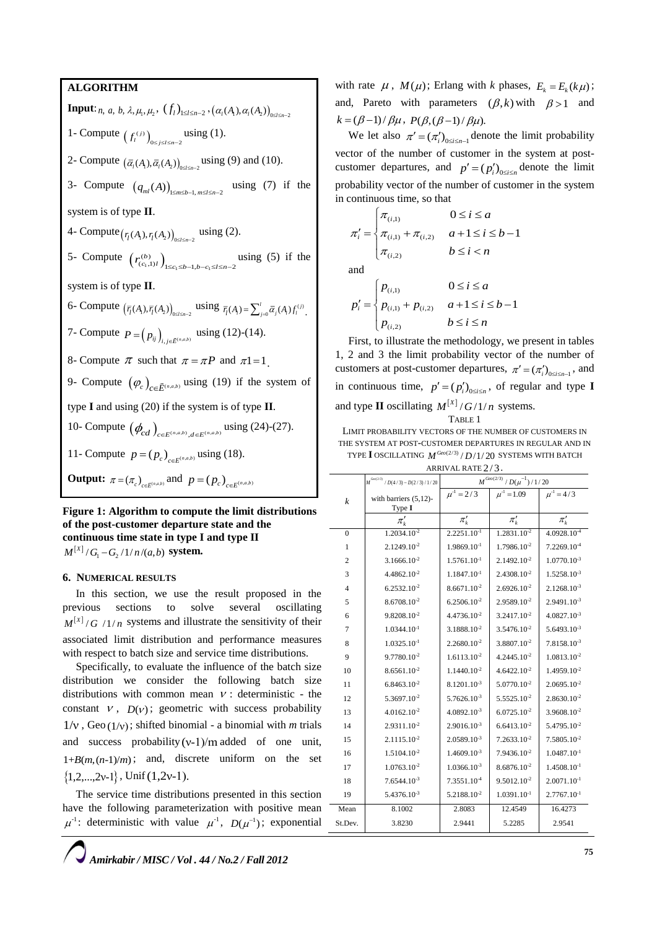**ALGORITHM Input:** *n*, *a*, *b*,  $\lambda$ ,  $\mu_1$ ,  $\mu_2$ ,  $(f_l)_{1 \leq l \leq n-2}$ ,  $(a_l(A_1), a_l(A_2))_{0 \leq l \leq n-2}$ 1- Compute  $(f_i^{(j)})_{0 \le j \le l \le n-2}$  using (1). 2- Compute  $(\bar{a}_i(A_1), \bar{a}_i(A_2))_{0 \leq l \leq n-2}$  using (9) and (10). 3- Compute  $(q_{ml}(A))_{1 \le m \le b-1, m \le l \le n-2}$  using (7) if the system is of type **II**. 4- Compute  $(r_1(A_1), r_1(A_2))_{0 \le l \le n-2}$  using (2). 5- Compute  $(r_{(c_1,1)l}^{(b)})_{1 \leq c_1 \leq b-1,b-c_1}$  $r_{(c_1,1)l}^{(b)}$   $\Big)_{1 \leq c_1 \leq b-1, b-c_1 \leq l \leq n-2}$  using (5) if the system is of type **II**. 6- Compute  $(\bar{r}_i(A_i), \bar{r}_i(A_2))_{0 \le i \le n-2}$  using  $\bar{r}_i(A_i) = \sum_{j=0}^l \bar{\alpha}_j(A_i) f_i^{(j)}$ . 7- Compute  $P = (p_{ij})_{i,j \in \tilde{E}^{(n,a,b)}}$  using (12)-(14). 8- Compute  $\pi$  such that  $\pi = \pi P$  and  $\pi 1 = 1$ . 9- Compute  $(\varphi_c)_{c \in \tilde{E}^{(n,a,b)}}$  using (19) if the system of type **I** and using (20) if the system is of type **II**. 10- Compute  $(\phi_{cd})_{c \in \tilde{E}^{(n,a,b)}, d \in E^{(n,a,b)}}$  using (24)-(27). 11- Compute  $p = (p_c)_{c \in E^{(n,a,b)}}$  using (18). **Output:**  $\pi = (\pi_c)_{c \in \tilde{E}^{(n,a,b)}}$  and  $p = (p_c)_{c \in E^{(n,a,b)}}$ 

**Figure 1: Algorithm to compute the limit distributions of the post-customer departure state and the continuous time state in type I and type II**   $M^{[X]}/G_{\!\scriptscriptstyle 1} - G_{\!\scriptscriptstyle 2}/1/n/(a,b)$  system.

### **6. NUMERICAL RESULTS**

In this section, we use the result proposed in the previous sections to solve several oscillating  $M^{[X]}$  / G / 1/n systems and illustrate the sensitivity of their associated limit distribution and performance measures with respect to batch size and service time distributions.

Specifically, to evaluate the influence of the batch size distribution we consider the following batch size distributions with common mean  $V$ : deterministic - the constant  $V$ ,  $D(V)$ ; geometric with success probability  $1/v$ , Geo  $(1/v)$ ; shifted binomial - a binomial with *m* trials and success probability  $(v-1)/m$  added of one unit,  $1+B(m, (n-1)/m)$ ; and, discrete uniform on the set  $\{1,2,...,2v-1\}$ , Unif  $(1,2v-1)$ .

The service time distributions presented in this section have the following parameterization with positive mean  $\mu$ <sup>-1</sup>: deterministic with value  $\mu$ <sup>-1</sup>,  $D(\mu^{-1})$ ; exponential with rate  $\mu$ ,  $M(\mu)$ ; Erlang with *k* phases,  $E_k = E_k(k\mu)$ ; and, Pareto with parameters  $(\beta, k)$  with  $\beta > 1$  and  $k = (\beta - 1) / \beta \mu$ ,  $P(\beta, (\beta - 1) / \beta \mu)$ .

We let also  $\pi' = (\pi_i')_{0 \le i \le n-1}$  denote the limit probability vector of the number of customer in the system at postcustomer departures, and  $p' = (p'_i)_{0 \le i \le n}$  denote the limit probability vector of the number of customer in the system in continuous time, so that

$$
\pi'_{i} = \begin{cases} \pi_{(i,1)} & 0 \le i \le a \\ \pi_{(i,1)} + \pi_{(i,2)} & a+1 \le i \le b-1 \\ \pi_{(i,2)} & b \le i < n \end{cases}
$$

and

$$
p'_{i} = \begin{cases} p_{(i,1)} & 0 \le i \le a \\ p_{(i,1)} + p_{(i,2)} & a+1 \le i \le b-1 \\ p_{(i,2)} & b \le i \le n \end{cases}
$$

First, to illustrate the methodology, we present in tables 1, 2 and 3 the limit probability vector of the number of customers at post-customer departures,  $\pi' = (\pi_i')_{0 \le i \le n-1}$ , and in continuous time,  $p' = (p'_i)_{0 \le i \le n}$ , of regular and type **I** and type **II** oscillating  $M^{[X]}/G/1/n$  systems. TABLE 1

LIMIT PROBABILITY VECTORS OF THE NUMBER OF CUSTOMERS IN

THE SYSTEM AT POST-CUSTOMER DEPARTURES IN REGULAR AND IN TYPE I OSCILLATING  $M^{\text{Geo}(2/3)}/D/1/20$  SYSTEMS WITH BATCH

| ARRIVAL RATE 2/3. |  |
|-------------------|--|
|-------------------|--|

|                  | $M^{Gov(2/3)}$ / $D(4/3)$ – $D(2/3)$ / 1/20 | $M^{Geo(2/3)} / \, D(\mu^{-1}) \, / \, 1 \, / \, 20$ |                         |                         |
|------------------|---------------------------------------------|------------------------------------------------------|-------------------------|-------------------------|
| $\boldsymbol{k}$ | with barriers $(5,12)$ -<br>Type I          | $\mu^{-1} = 2/3$                                     | $\mu^{-1} = 1.09$       | $\mu^{-1} = 4/3$        |
|                  | $\pi'_k$                                    | $\pi'_k$                                             | $\pi'_k$                | $\pi_k'$                |
| $\Omega$         | $1.2034.10^{-2}$                            | $2.2251.10^{-1}$                                     | 1.2831.10 <sup>-2</sup> | $4.0928.10^{-4}$        |
| 1                | 2.1249.10 <sup>-2</sup>                     | $1.9869.10^{-1}$                                     | 1.7986.10 <sup>-2</sup> | $7.2269.10^{-4}$        |
| $\overline{c}$   | $3.1666.10^{-2}$                            | $1.5761.10^{-1}$                                     | $2.1492.10^{-2}$        | $1.0770.10^{-3}$        |
| 3                | $4.4862.10^{-2}$                            | 1.1847.10-1                                          | 2.4308.10 <sup>-2</sup> | 1.5258.10-3             |
| 4                | $6.2532.10^{-2}$                            | $8.6671.10^{-2}$                                     | $2.6926.10^{-2}$        | $2.1268.10^{-3}$        |
| 5                | $8.6708.10^{-2}$                            | $6.2506.10^{-2}$                                     | $2.9589.10^{-2}$        | $2.9491.10^{-3}$        |
| 6                | $9.8208.10^{-2}$                            | 4.4736.10-2                                          | 3.2417.10-2             | 4.0827.10-3             |
| 7                | $1.0344.10^{-1}$                            | $3.1888.10^{-2}$                                     | $3.5476.10^{-2}$        | $5.6493.10^{-3}$        |
| 8                | $1.0325.10^{-1}$                            | $2.2680.10^{-2}$                                     | $3.8807.10^{-2}$        | $7.8158.10^{-3}$        |
| 9                | $9.7780.10^{-2}$                            | $1.6113.10^{-2}$                                     | $4.2445.10^{-2}$        | 1.0813.10 <sup>-2</sup> |
| 10               | 8.6561.10-2                                 | $1.1440.10^{-2}$                                     | $4.6422.10^{-2}$        | 1.4959.10-2             |
| 11               | $6.8463.10^{-2}$                            | $8.1201.10^{-3}$                                     | $5.0770.10^{-2}$        | $2.0695.10^{-2}$        |
| 12               | 5.3697.10 <sup>-2</sup>                     | $5.7626.10^{-3}$                                     | $5.5525.10^{-2}$        | $2.8630.10^{-2}$        |
| 13               | $4.0162.10^{-2}$                            | 4.0892.10-3                                          | $6.0725.10^{-2}$        | $3.9608.10^{-2}$        |
| 14               | 2.9311.10 <sup>-2</sup>                     | $2.9016.10^{-3}$                                     | $6.6413.10^{-2}$        | 5.4795.10 <sup>-2</sup> |
| 15               | $2.1115.10^{-2}$                            | $2.0589.10^{-3}$                                     | $7.2633.10^{-2}$        | $7.5805.10^{-2}$        |
| 16               | 1.5104.10-2                                 | 1.4609.10-3                                          | 7.9436.10-2             | $1.0487.10^{-1}$        |
| 17               | $1.0763.10^{-2}$                            | $1.0366.10^{-3}$                                     | $8.6876.10^{-2}$        | $1.4508.10^{-1}$        |
| 18               | $7.6544.10^{-3}$                            | $7.3551.10-4$                                        | $9.5012.10^{-2}$        | $2.0071.10^{-1}$        |
| 19               | $5.4376.10^{-3}$                            | $5.2188.10^{-2}$                                     | $1.0391.10^{-1}$        | $2.7767.10^{-1}$        |
| Mean             | 8.1002                                      | 2.8083                                               | 12.4549                 | 16.4273                 |
| St.Dev.          | 3.8230                                      | 2.9441                                               | 5.2285                  | 2.9541                  |

*Amirkabir / MISC / Vol . 44 / No.2 / Fall 2012*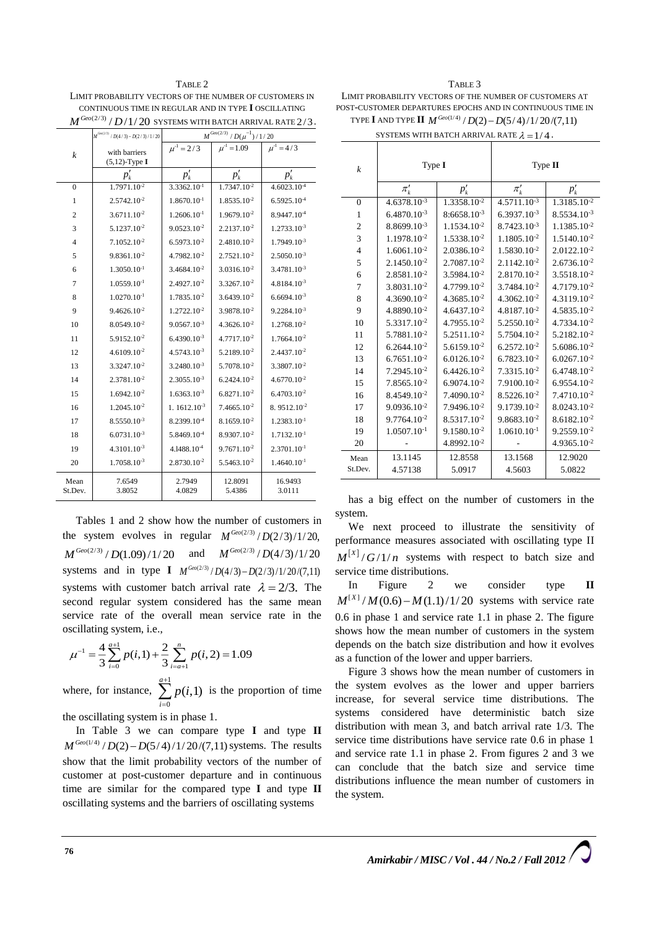TABLE 2 LIMIT PROBABILITY VECTORS OF THE NUMBER OF CUSTOMERS IN CONTINUOUS TIME IN REGULAR AND IN TYPE **I** OSCILLATING  $M^{\mathit{Geo}(2/3)}/D/1/20\,$  SYSTEMS WITH BATCH ARRIVAL RATE  $2/3$  .

|                  | $M^{^{G\omega(2^{\prime}3)}}$ / $D(4$ / 3) $ D(2$ / 3) / 1 / 20 | $M^{Geo(2/3)} / D(\mu^{-1}) / 1 / 20$ |                         |                         |  |
|------------------|-----------------------------------------------------------------|---------------------------------------|-------------------------|-------------------------|--|
| $\boldsymbol{k}$ | with barriers                                                   | $\mu^{-1} = 2/3$                      | $\mu^4 = 1.09$          | $\mu^{-1} = 4/3$        |  |
|                  | $(5,12)$ -Type I                                                |                                       |                         |                         |  |
|                  | $p'_k$                                                          | $p'_k$                                | $p'_k$                  | $p'_k$                  |  |
| $\Omega$         | 1.7971.10 <sup>-2</sup>                                         | $3.3362.10^{-1}$                      | $1.7347.10^{-2}$        | $4.6023.10^{-4}$        |  |
| 1                | 2.5742.10-2                                                     | $1.8670.10$ <sup>-1</sup>             | 1.8535.10 <sup>-2</sup> | $6.5925.10^{-4}$        |  |
| $\overline{c}$   | $3.6711.10^{-2}$                                                | $1.2606.10^{-1}$                      | $1.9679.10^{-2}$        | 8.9447.10 <sup>-4</sup> |  |
| 3                | 5.1237.10 <sup>-2</sup>                                         | $9.0523.10^{-2}$                      | $2.2137.10^{-2}$        | $1.2733.10^{-3}$        |  |
| $\overline{4}$   | $7.1052.10^{-2}$                                                | $6.5973.10^{-2}$                      | $2.4810.10^{-2}$        | $1.7949.10^{-3}$        |  |
| 5                | 9.8361.10-2                                                     | 4.7982.10 <sup>-2</sup>               | 2.7521.10-2             | $2.5050.10^{-3}$        |  |
| 6                | $1.3050.10^{-1}$                                                | $3.4684.10^{-2}$                      | $3.0316.10^{-2}$        | $3.4781.10^{-3}$        |  |
| $\overline{7}$   | $1.0559.10^{-1}$                                                | $2.4927.10^{-2}$                      | $3.3267.10^{-2}$        | $4.8184.10^{-3}$        |  |
| 8                | $1.0270.10^{-1}$                                                | 1.7835.10-2                           | $3.6439.10^{-2}$        | $6.6694.10^{-3}$        |  |
| 9                | $9.4626.10^{-2}$                                                | $1.2722.10^{-2}$                      | 3.9878.10 <sup>-2</sup> | $9.2284.10^{-3}$        |  |
| 10               | $8.0549.10^{-2}$                                                | $9.0567.10^{-3}$                      | $4.3626.10^{-2}$        | $1.2768.10^{-2}$        |  |
| 11               | 5.9152.10-2                                                     | $6.4390.10^{-3}$                      | 4.7717.10-2             | 1.7664.10-2             |  |
| 12               | $4.6109.10^{-2}$                                                | $4.5743.10^{-3}$                      | $5.2189.10^{-2}$        | $2.4437.10^{-2}$        |  |
| 13               | 3.3247.10 <sup>-2</sup>                                         | $3.2480.10^{-3}$                      | $5.7078.10^{-2}$        | 3.3807.10 <sup>-2</sup> |  |
| 14               | 2.3781.10 <sup>-2</sup>                                         | $2.3055.10^{-3}$                      | $6.2424.10^{-2}$        | $4.6770.10^{-2}$        |  |
| 15               | $1.6942.10^{-2}$                                                | $1.6363.10^{-3}$                      | $6.8271.10^{-2}$        | $6.4703.10^{-2}$        |  |
| 16               | 1.2045.10 <sup>-2</sup>                                         | $1.1612.10^{-3}$                      | $7.4665.10^{-2}$        | 8.9512.10 <sup>-2</sup> |  |
| 17               | $8.5550.10^{-3}$                                                | 8.2399.10 <sup>-4</sup>               | $8.1659.10^{-2}$        | $1.2383.10^{-1}$        |  |
| 18               | $6.0731.10^{-3}$                                                | 5.8469.10 <sup>-4</sup>               | 8.9307.10-2             | $1.7132.10^{-1}$        |  |
| 19               | $4.3101.10^{-3}$                                                | $4.1488.10-4$                         | $9.7671.10^{-2}$        | $2.3701.10^{-1}$        |  |
| 20               | $1.7058.10^{-3}$                                                | $2.8730.10^{-2}$                      | $5.5463.10^{-2}$        | $1.4640.10^{-1}$        |  |
| Mean<br>St.Dev.  | 7.6549<br>3.8052                                                | 2.7949<br>4.0829                      | 12.8091<br>5.4386       | 16.9493<br>3.0111       |  |

Tables 1 and 2 show how the number of customers in the system evolves in regular  $M^{Geo(2/3)}/D(2/3)/1/20$ ,  $M^{Geo(2/3)}/D(1.09)/1/20$  and  $M^{Geo(2/3)}/D(4/3)/1/20$ systems and in type **I**  $M^{Geo(2/3)}/D(4/3) - D(2/3)/1/20/(7,11)$ systems with customer batch arrival rate  $\lambda = 2/3$ . The second regular system considered has the same mean service rate of the overall mean service rate in the oscillating system, i.e.,

$$
\mu^{-1} = \frac{4}{3} \sum_{i=0}^{a+1} p(i,1) + \frac{2}{3} \sum_{i=a+1}^{n} p(i,2) = 1.09
$$

where, for instance,  $\sum_{n=1}^{\infty}$ 0  $\sum_{i=1}^{a+1} p(i,1)$ *i*  $\sum_{i=1}^{n} p(i)$  $\sum_{i=0} p(i,1)$  is the proportion of time

the oscillating system is in phase 1.

In Table 3 we can compare type **I** and type **II**  $M^{Geo(1/4)}/D(2) - D(5/4)/1/20/(7,11)$  systems. The results show that the limit probability vectors of the number of customer at post-customer departure and in continuous time are similar for the compared type **I** and type **II** oscillating systems and the barriers of oscillating systems

TABLE 3 LIMIT PROBABILITY VECTORS OF THE NUMBER OF CUSTOMERS AT POST-CUSTOMER DEPARTURES EPOCHS AND IN CONTINUOUS TIME IN TYPE **I** AND TYPE **II**  $M^{Geo(1/4)}/D(2) - D(5/4)/1/20/(7,11)$ 

| SYSTEMS WITH BATCH ARRIVAL RATE $\lambda = 1/4$ . |  |  |  |  |  |  |  |  |  |
|---------------------------------------------------|--|--|--|--|--|--|--|--|--|
|---------------------------------------------------|--|--|--|--|--|--|--|--|--|

| $\boldsymbol{k}$ | Type I                  |                         | Type $II$                   |                         |  |
|------------------|-------------------------|-------------------------|-----------------------------|-------------------------|--|
|                  | $\pi_k'$                | $p'_{k}$                | $\pi_k'$                    | $p'_{k}$                |  |
| $\overline{0}$   | $4.6378.10^{-3}$        | 1.3358.10-2             | $4.571\overline{1.10^{-3}}$ | 1.3185.10 <sup>-2</sup> |  |
| 1                | $6.4870.10^{-3}$        | $8:6658.10^{-3}$        | $6.3937.10^{-3}$            | $8.5534.10^{-3}$        |  |
| $\overline{c}$   | 8.8699.10-3             | 1.1534.10-2             | 8.7423.10-3                 | 1.1385.10-2             |  |
| 3                | 1.1978.10 <sup>-2</sup> | 1.5338.10 <sup>-2</sup> | 1.1805.10-2                 | $1.5140.10^{-2}$        |  |
| $\overline{4}$   | $1.6061.10^{-2}$        | $2.0386.10^{-2}$        | 1.5830.10-2                 | 2.0122.10-2             |  |
| 5                | $2.1450.10^{-2}$        | 2.7087.10-2             | $2.1142.10^{-2}$            | $2.6736.10^{-2}$        |  |
| 6                | $2.8581.10^{-2}$        | 3.5984.10 <sup>-2</sup> | $2.8170.10^{-2}$            | 3.5518.10-2             |  |
| 7                | $3.8031.10^{-2}$        | 4.7799.10 <sup>-2</sup> | 3.7484.10 <sup>-2</sup>     | 4.7179.10 <sup>-2</sup> |  |
| 8                | $4.3690.10^{-2}$        | $4.3685.10^{-2}$        | $4.3062.10^{-2}$            | 4.3119.10 <sup>-2</sup> |  |
| 9                | 4.8890.10 <sup>-2</sup> | $4.6437.10^{-2}$        | 4.8187.10-2                 | 4.5835.10 <sup>-2</sup> |  |
| 10               | 5.3317.10-2             | $4.7955.10^{-2}$        | $5.2550.10^{-2}$            | 4.7334.10-2             |  |
| 11               | 5.7881.10-2             | 5.2511.10-2             | 5.7504.10-2                 | 5.2182.10-2             |  |
| 12               | $6.2644.10^{-2}$        | 5.6159.10-2             | $6.2572.10^{-2}$            | 5.6086.10-2             |  |
| 13               | $6.7651.10^{-2}$        | $6.0126.10^{-2}$        | $6.7823.10^{-2}$            | $6.0267.10^{-2}$        |  |
| 14               | 7.2945.10-2             | $6.4426.10^{-2}$        | 7.3315.10 <sup>-2</sup>     | $6.4748.10^{-2}$        |  |
| 15               | $7.8565.10^{-2}$        | $6.9074.10^{-2}$        | 7.9100.10 <sup>-2</sup>     | $6.9554.10^{-2}$        |  |
| 16               | 8.4549.10 <sup>-2</sup> | 7.4090.10 <sup>-2</sup> | $8.5226.10^{-2}$            | 7.4710.10 <sup>-2</sup> |  |
| 17               | $9.0936.10^{-2}$        | 7.9496.10 <sup>-2</sup> | 9.1739.10-2                 | 8.0243.10 <sup>-2</sup> |  |
| 18               | $9.7764.10^{-2}$        | 8.5317.10 <sup>-2</sup> | $9.8683.10^{-2}$            | $8.6182.10^{-2}$        |  |
| 19               | 1.0507.10-1             | 9.1580.10-2             | 1.0610.10-1                 | 9.2559.10-2             |  |
| 20               |                         | 4.8992.10-2             |                             | $4.9365.10^{-2}$        |  |
| Mean             | 13.1145                 | 12.8558                 | 13.1568                     | 12.9020                 |  |
| St.Dev.          | 4.57138                 | 5.0917                  | 4.5603                      | 5.0822                  |  |

has a big effect on the number of customers in the system.

We next proceed to illustrate the sensitivity of performance measures associated with oscillating type II  $M^{[X]}/G/1/n$  systems with respect to batch size and service time distributions.

In Figure 2 we consider type **II**   $M^{[X]} / M(0.6) - M(1.1) /1/20$  systems with service rate 0.6 in phase 1 and service rate 1.1 in phase 2. The figure shows how the mean number of customers in the system depends on the batch size distribution and how it evolves as a function of the lower and upper barriers.

Figure 3 shows how the mean number of customers in the system evolves as the lower and upper barriers increase, for several service time distributions. The systems considered have deterministic batch size distribution with mean 3, and batch arrival rate 1/3. The service time distributions have service rate 0.6 in phase 1 and service rate 1.1 in phase 2. From figures 2 and 3 we can conclude that the batch size and service time distributions influence the mean number of customers in the system.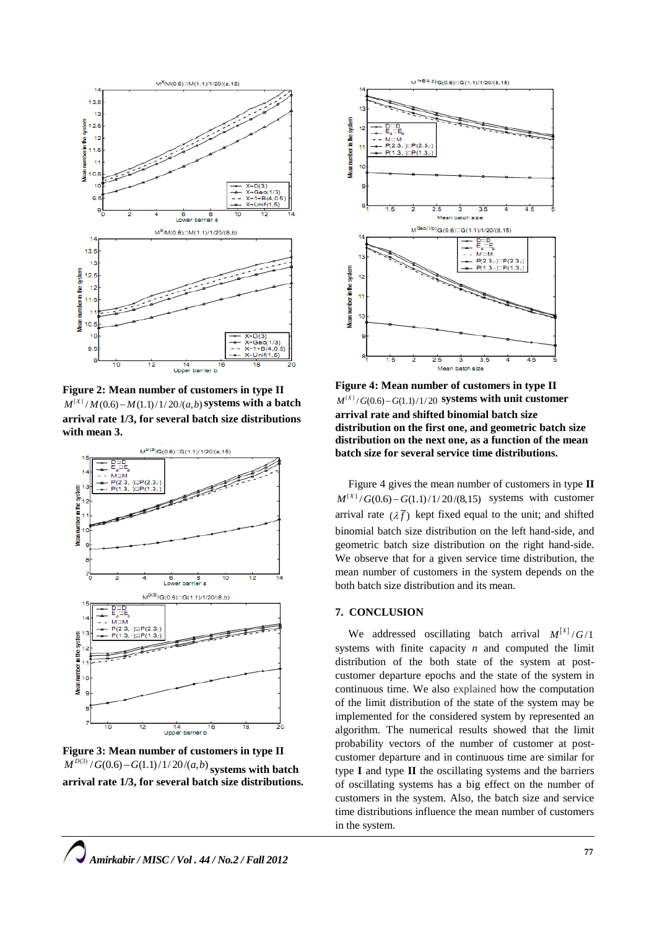

**Figure 2: Mean number of customers in type II**  $M^{[X]} / M(0.6) - M(1.1) /1/20/(a, b)$  systems with a batch **arrival rate 1/3, for several batch size distributions with mean 3.**



**Figure 3: Mean number of customers in type II**  $(M^{D(3)}/G(0.6) - G(1.1) /1/20/(a, b)$  systems with batch **arrival rate 1/3, for several batch size distributions.**



**Figure 4: Mean number of customers in type II**  $M^{[X]} / G(0.6) - G(1.1) / 1/20$  systems with unit customer **arrival rate and shifted binomial batch size distribution on the first one, and geometric batch size distribution on the next one, as a function of the mean batch size for several service time distributions.**

Figure 4 gives the mean number of customers in type **II**  $M^{[X]} / G(0.6) - G(1.1) / 1/20 / (8.15)$  systems with customer arrival rate  $(\lambda \bar{f})$  kept fixed equal to the unit; and shifted binomial batch size distribution on the left hand-side, and geometric batch size distribution on the right hand-side. We observe that for a given service time distribution, the mean number of customers in the system depends on the both batch size distribution and its mean.

## **7. CONCLUSION**

We addressed oscillating batch arrival  $M^{[x]}/G/1$ systems with finite capacity *n* and computed the limit distribution of the both state of the system at postcustomer departure epochs and the state of the system in continuous time. We also explained how the computation of the limit distribution of the state of the system may be implemented for the considered system by represented an algorithm. The numerical results showed that the limit probability vectors of the number of customer at postcustomer departure and in continuous time are similar for type **I** and type **II** the oscillating systems and the barriers of oscillating systems has a big effect on the number of customers in the system. Also, the batch size and service time distributions influence the mean number of customers in the system.